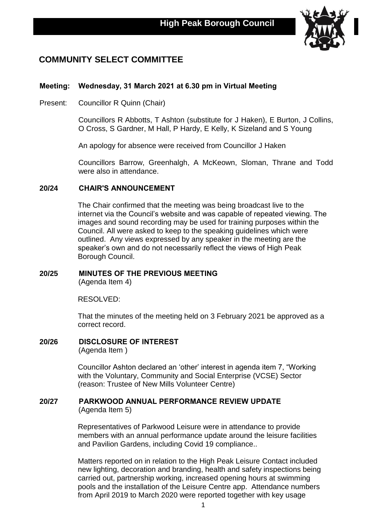

# **COMMUNITY SELECT COMMITTEE**

# **Meeting: Wednesday, 31 March 2021 at 6.30 pm in Virtual Meeting**

Present: Councillor R Quinn (Chair)

Councillors R Abbotts, T Ashton (substitute for J Haken), E Burton, J Collins, O Cross, S Gardner, M Hall, P Hardy, E Kelly, K Sizeland and S Young

An apology for absence were received from Councillor J Haken

Councillors Barrow, Greenhalgh, A McKeown, Sloman, Thrane and Todd were also in attendance.

# **20/24 CHAIR'S ANNOUNCEMENT**

The Chair confirmed that the meeting was being broadcast live to the internet via the Council's website and was capable of repeated viewing. The images and sound recording may be used for training purposes within the Council. All were asked to keep to the speaking guidelines which were outlined. Any views expressed by any speaker in the meeting are the speaker's own and do not necessarily reflect the views of High Peak Borough Council.

# **20/25 MINUTES OF THE PREVIOUS MEETING**

(Agenda Item 4)

RESOLVED:

That the minutes of the meeting held on 3 February 2021 be approved as a correct record.

**20/26 DISCLOSURE OF INTEREST** (Agenda Item )

> Councillor Ashton declared an 'other' interest in agenda item 7, "Working with the Voluntary, Community and Social Enterprise (VCSE) Sector (reason: Trustee of New Mills Volunteer Centre)

## **20/27 PARKWOOD ANNUAL PERFORMANCE REVIEW UPDATE**

(Agenda Item 5)

Representatives of Parkwood Leisure were in attendance to provide members with an annual performance update around the leisure facilities and Pavilion Gardens, including Covid 19 compliance..

Matters reported on in relation to the High Peak Leisure Contact included new lighting, decoration and branding, health and safety inspections being carried out, partnership working, increased opening hours at swimming pools and the installation of the Leisure Centre app. Attendance numbers from April 2019 to March 2020 were reported together with key usage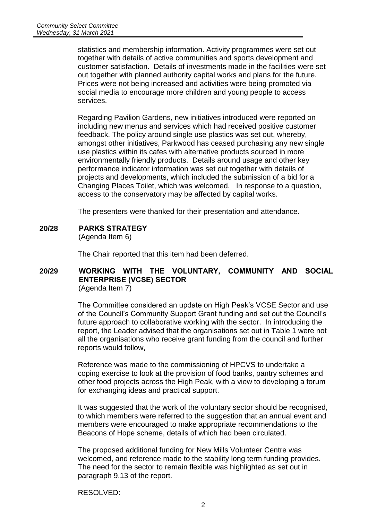statistics and membership information. Activity programmes were set out together with details of active communities and sports development and customer satisfaction. Details of investments made in the facilities were set out together with planned authority capital works and plans for the future. Prices were not being increased and activities were being promoted via social media to encourage more children and young people to access services.

Regarding Pavilion Gardens, new initiatives introduced were reported on including new menus and services which had received positive customer feedback. The policy around single use plastics was set out, whereby, amongst other initiatives, Parkwood has ceased purchasing any new single use plastics within its cafes with alternative products sourced in more environmentally friendly products. Details around usage and other key performance indicator information was set out together with details of projects and developments, which included the submission of a bid for a Changing Places Toilet, which was welcomed. In response to a question, access to the conservatory may be affected by capital works.

The presenters were thanked for their presentation and attendance.

**20/28 PARKS STRATEGY**

(Agenda Item 6)

The Chair reported that this item had been deferred.

#### **20/29 WORKING WITH THE VOLUNTARY, COMMUNITY AND SOCIAL ENTERPRISE (VCSE) SECTOR** (Agenda Item 7)

The Committee considered an update on High Peak's VCSE Sector and use of the Council's Community Support Grant funding and set out the Council's future approach to collaborative working with the sector. In introducing the report, the Leader advised that the organisations set out in Table 1 were not all the organisations who receive grant funding from the council and further reports would follow,

Reference was made to the commissioning of HPCVS to undertake a coping exercise to look at the provision of food banks, pantry schemes and other food projects across the High Peak, with a view to developing a forum for exchanging ideas and practical support.

It was suggested that the work of the voluntary sector should be recognised, to which members were referred to the suggestion that an annual event and members were encouraged to make appropriate recommendations to the Beacons of Hope scheme, details of which had been circulated.

The proposed additional funding for New Mills Volunteer Centre was welcomed, and reference made to the stability long term funding provides. The need for the sector to remain flexible was highlighted as set out in paragraph 9.13 of the report.

RESOLVED: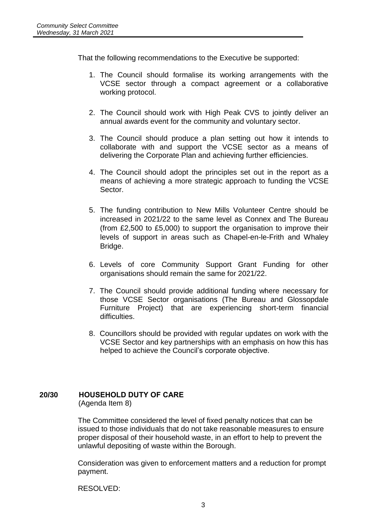That the following recommendations to the Executive be supported:

- 1. The Council should formalise its working arrangements with the VCSE sector through a compact agreement or a collaborative working protocol.
- 2. The Council should work with High Peak CVS to jointly deliver an annual awards event for the community and voluntary sector.
- 3. The Council should produce a plan setting out how it intends to collaborate with and support the VCSE sector as a means of delivering the Corporate Plan and achieving further efficiencies.
- 4. The Council should adopt the principles set out in the report as a means of achieving a more strategic approach to funding the VCSE Sector.
- 5. The funding contribution to New Mills Volunteer Centre should be increased in 2021/22 to the same level as Connex and The Bureau (from £2,500 to £5,000) to support the organisation to improve their levels of support in areas such as Chapel-en-le-Frith and Whaley Bridge.
- 6. Levels of core Community Support Grant Funding for other organisations should remain the same for 2021/22.
- 7. The Council should provide additional funding where necessary for those VCSE Sector organisations (The Bureau and Glossopdale Furniture Project) that are experiencing short-term financial difficulties.
- 8. Councillors should be provided with regular updates on work with the VCSE Sector and key partnerships with an emphasis on how this has helped to achieve the Council's corporate objective.

# **20/30 HOUSEHOLD DUTY OF CARE**

(Agenda Item 8)

The Committee considered the level of fixed penalty notices that can be issued to those individuals that do not take reasonable measures to ensure proper disposal of their household waste, in an effort to help to prevent the unlawful depositing of waste within the Borough.

Consideration was given to enforcement matters and a reduction for prompt payment.

RESOLVED: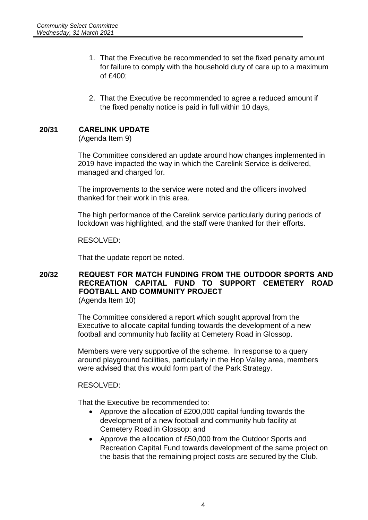- 1. That the Executive be recommended to set the fixed penalty amount for failure to comply with the household duty of care up to a maximum of £400;
- 2. That the Executive be recommended to agree a reduced amount if the fixed penalty notice is paid in full within 10 days,

## **20/31 CARELINK UPDATE**

(Agenda Item 9)

The Committee considered an update around how changes implemented in 2019 have impacted the way in which the Carelink Service is delivered, managed and charged for.

The improvements to the service were noted and the officers involved thanked for their work in this area.

The high performance of the Carelink service particularly during periods of lockdown was highlighted, and the staff were thanked for their efforts.

RESOLVED:

That the update report be noted.

### **20/32 REQUEST FOR MATCH FUNDING FROM THE OUTDOOR SPORTS AND RECREATION CAPITAL FUND TO SUPPORT CEMETERY ROAD FOOTBALL AND COMMUNITY PROJECT** (Agenda Item 10)

The Committee considered a report which sought approval from the Executive to allocate capital funding towards the development of a new football and community hub facility at Cemetery Road in Glossop.

Members were very supportive of the scheme. In response to a query around playground facilities, particularly in the Hop Valley area, members were advised that this would form part of the Park Strategy.

RESOLVED:

That the Executive be recommended to:

- Approve the allocation of £200,000 capital funding towards the development of a new football and community hub facility at Cemetery Road in Glossop; and
- Approve the allocation of £50,000 from the Outdoor Sports and Recreation Capital Fund towards development of the same project on the basis that the remaining project costs are secured by the Club.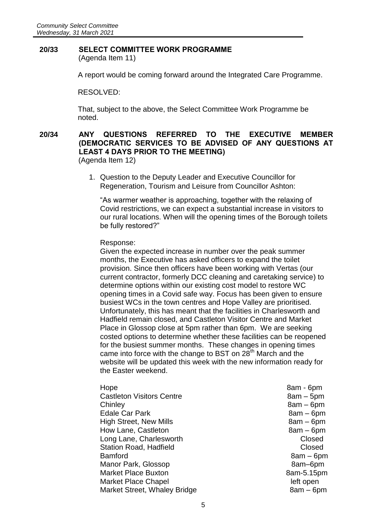#### **20/33 SELECT COMMITTEE WORK PROGRAMME** (Agenda Item 11)

A report would be coming forward around the Integrated Care Programme.

#### RESOLVED:

That, subject to the above, the Select Committee Work Programme be noted.

# **20/34 ANY QUESTIONS REFERRED TO THE EXECUTIVE MEMBER (DEMOCRATIC SERVICES TO BE ADVISED OF ANY QUESTIONS AT LEAST 4 DAYS PRIOR TO THE MEETING)**

(Agenda Item 12)

1. Question to the Deputy Leader and Executive Councillor for Regeneration, Tourism and Leisure from Councillor Ashton:

"As warmer weather is approaching, together with the relaxing of Covid restrictions, we can expect a substantial increase in visitors to our rural locations. When will the opening times of the Borough toilets be fully restored?"

#### Response:

Given the expected increase in number over the peak summer months, the Executive has asked officers to expand the toilet provision. Since then officers have been working with Vertas (our current contractor, formerly DCC cleaning and caretaking service) to determine options within our existing cost model to restore WC opening times in a Covid safe way. Focus has been given to ensure busiest WCs in the town centres and Hope Valley are prioritised. Unfortunately, this has meant that the facilities in Charlesworth and Hadfield remain closed, and Castleton Visitor Centre and Market Place in Glossop close at 5pm rather than 6pm. We are seeking costed options to determine whether these facilities can be reopened for the busiest summer months. These changes in opening times came into force with the change to BST on 28<sup>th</sup> March and the website will be updated this week with the new information ready for the Easter weekend.

- Castleton Visitors Centre **8am 5pm** Chinley 8am – 6pm Edale Car Park 8am – 6pm High Street, New Mills 8am – 6pm How Lane, Castleton **8am – 6pm** Long Lane, Charlesworth **Closed** Closed Station Road, Hadfield **Closed** Closed Bamford 8am – 6pm Manor Park, Glossop 8am–6pm Market Place Buxton and the state of the 8am-5.15pm Market Place Chapel and the control of the left open Market Street, Whaley Bridge 8am – 6pm
- Hope 8am 6pm